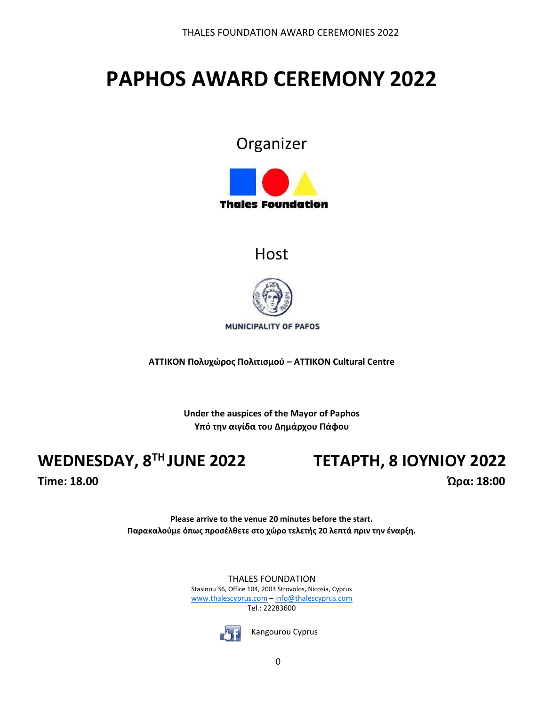# **PAPHOS AWARD CEREMONY 2022**

### Organizer



### **Host**



MUNICIPALITY OF PAFOS

**ATTIKON Πολυχώρος Πολιτισμού – ΑΤΤΙΚΟΝ Cultural Centre** 

**Under the auspices of the Mayor of Paphos Υπό την αιγίδα του Δημάρχου Πάφου**

## **WEDNESDAY, 8**

## **TH JUNE 2022 ΤΕΤΑΡΤΗ, 8 ΙΟΥΝΙΟΥ 2022**

**Time: 18.00 Ώρα: 18:00**

**Please arrive to the venue 20 minutes before the start. Παρακαλούμε όπως προσέλθετε στο χώρο τελετής 20 λεπτά πριν την έναρξη.**

> THALES FOUNDATION Stasinou 36, Office 104, 2003 Strovolos, Nicosia, Cyprus [www.thalescyprus.com](http://www.thalescyprus.com/) – [info@thalescyprus.com](mailto:info@thalescyprus.com) Tel.: 22283600



Kangourou Cyprus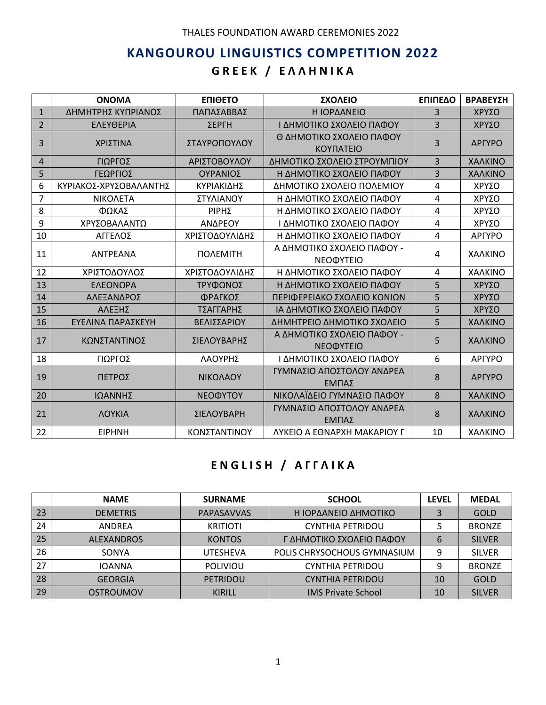#### THALES FOUNDATION AWARD CEREMONIES 2022

### **KANGOUROU LINGUISTICS COMPETITION 2022 G R E E K / Ε Λ Λ Η Ν Ι Κ Α**

|                | <b>ONOMA</b>           | <b>ENIOETO</b> | <b>ΣΧΟΛΕΙΟ</b>                                 | ΕΠΙΠΕΔΟ        | ΒΡΑΒΕΥΣΗ      |
|----------------|------------------------|----------------|------------------------------------------------|----------------|---------------|
| $\mathbf{1}$   | ΔΗΜΗΤΡΗΣ ΚΥΠΡΙΑΝΟΣ     | ΠΑΠΑΣΑΒΒΑΣ     | Η ΙΟΡΔΑΝΕΙΟ                                    | 3              | ΧΡΥΣΟ         |
| $\overline{2}$ | ΕΛΕΥΘΕΡΙΑ              | ΣΕΡΓΗ          | Ι ΔΗΜΟΤΙΚΟ ΣΧΟΛΕΙΟ ΠΑΦΟΥ                       | 3              | ΧΡΥΣΟ         |
| 3              | ΧΡΙΣΤΙΝΑ               | ΣΤΑΥΡΟΠΟΥΛΟΥ   | Θ ΔΗΜΟΤΙΚΟ ΣΧΟΛΕΙΟ ΠΑΦΟΥ<br><b>KOYNATEIO</b>   | 3              | <b>APFYPO</b> |
| 4              | ΓΙΩΡΓΟΣ                | ΑΡΙΣΤΟΒΟΥΛΟΥ   | ΔΗΜΟΤΙΚΟ ΣΧΟΛΕΙΟ ΣΤΡΟΥΜΠΙΟΥ                    | $\overline{3}$ | ΧΑΛΚΙΝΟ       |
| 5              | ΓΕΩΡΓΙΟΣ               | ΟΥΡΑΝΙΟΣ       | Η ΔΗΜΟΤΙΚΟ ΣΧΟΛΕΙΟ ΠΑΦΟΥ                       | 3              | ΧΑΛΚΙΝΟ       |
| 6              | ΚΥΡΙΑΚΟΣ-ΧΡΥΣΟΒΑΛΑΝΤΗΣ | ΚΥΡΙΑΚΙΔΗΣ     | ΔΗΜΟΤΙΚΟ ΣΧΟΛΕΙΟ ΠΟΛΕΜΙΟΥ                      | 4              | ΧΡΥΣΟ         |
| $\overline{7}$ | ΝΙΚΟΛΕΤΑ               | ΣΤΥΛΙΑΝΟΥ      | Η ΔΗΜΟΤΙΚΟ ΣΧΟΛΕΙΟ ΠΑΦΟΥ                       | 4              | ΧΡΥΣΟ         |
| 8              | ΦΩΚΑΣ                  | ΡΙΡΗΣ          | Η ΔΗΜΟΤΙΚΟ ΣΧΟΛΕΙΟ ΠΑΦΟΥ                       | 4              | ΧΡΥΣΟ         |
| 9              | ΧΡΥΣΟΒΑΛΑΝΤΩ           | ΑΝΔΡΕΟΥ        | Ι ΔΗΜΟΤΙΚΟ ΣΧΟΛΕΙΟ ΠΑΦΟΥ                       | 4              | ΧΡΥΣΟ         |
| 10             | ΑΓΓΕΛΟΣ                | ΧΡΙΣΤΟΔΟΥΛΙΔΗΣ | Η ΔΗΜΟΤΙΚΟ ΣΧΟΛΕΙΟ ΠΑΦΟΥ                       | 4              | <b>APFYPO</b> |
| 11             | <b>ANTPEANA</b>        | ΠΟΛΕΜΙΤΗ       | Α ΔΗΜΟΤΙΚΟ ΣΧΟΛΕΙΟ ΠΑΦΟΥ -<br>ΝΕΟΦΥΤΕΙΟ        | 4              | ΧΑΛΚΙΝΟ       |
| 12             | ΧΡΙΣΤΟΔΟΥΛΟΣ           | ΧΡΙΣΤΟΔΟΥΛΙΔΗΣ | Η ΔΗΜΟΤΙΚΟ ΣΧΟΛΕΙΟ ΠΑΦΟΥ                       | 4              | ΧΑΛΚΙΝΟ       |
| 13             | ΕΛΕΟΝΩΡΑ               | ΤΡΥΦΩΝΟΣ       | Η ΔΗΜΟΤΙΚΟ ΣΧΟΛΕΙΟ ΠΑΦΟΥ                       | 5              | ΧΡΥΣΟ         |
| 14             | ΑΛΕΞΑΝΔΡΟΣ             | ΦΡΑΓΚΟΣ        | ΠΕΡΙΦΕΡΕΙΑΚΟ ΣΧΟΛΕΙΟ ΚΟΝΙΩΝ                    | 5              | ΧΡΥΣΟ         |
| 15             | ΑΛΕΞΗΣ                 | ΤΣΑΓΓΑΡΗΣ      | ΙΑ ΔΗΜΟΤΙΚΟ ΣΧΟΛΕΙΟ ΠΑΦΟΥ                      | 5              | ΧΡΥΣΟ         |
| 16             | ΕΥΕΛΙΝΑ ΠΑΡΑΣΚΕΥΗ      | ΒΕΛΙΣΣΑΡΙΟΥ    | ΔΗΜΗΤΡΕΙΟ ΔΗΜΟΤΙΚΟ ΣΧΟΛΕΙΟ                     | 5              | ΧΑΛΚΙΝΟ       |
| 17             | ΚΩΝΣΤΑΝΤΙΝΟΣ           | ΣΙΕΛΟΥΒΑΡΗΣ    | Α ΔΗΜΟΤΙΚΟ ΣΧΟΛΕΙΟ ΠΑΦΟΥ -<br><b>NEODYTEIO</b> | 5              | ΧΑΛΚΙΝΟ       |
| 18             | ΓΙΩΡΓΟΣ                | ΛΑΟΥΡΗΣ        | Ι ΔΗΜΟΤΙΚΟ ΣΧΟΛΕΙΟ ΠΑΦΟΥ                       | 6              | <b>APTYPO</b> |
| 19             | ΠΕΤΡΟΣ                 | ΝΙΚΟΛΑΟΥ       | ΓΥΜΝΑΣΙΟ ΑΠΟΣΤΟΛΟΥ ΑΝΔΡΕΑ<br>ΕΜΠΑΣ             | 8              | <b>APFYPO</b> |
| 20             | ΙΩΑΝΝΗΣ                | ΝΕΟΦΥΤΟΥ       | ΝΙΚΟΛΑΪΔΕΙΟ ΓΥΜΝΑΣΙΟ ΠΑΦΟΥ                     | 8              | ΧΑΛΚΙΝΟ       |
| 21             | <b><i>AOYKIA</i></b>   | ΣΙΕΛΟΥΒΑΡΗ     | ΓΥΜΝΑΣΙΟ ΑΠΟΣΤΟΛΟΥ ΑΝΔΡΕΑ<br>ΕΜΠΑΣ             | 8              | ΧΑΛΚΙΝΟ       |
| 22             | <b>EIPHNH</b>          | ΚΩΝΣΤΑΝΤΙΝΟΥ   | <b><i>AYKEIO A EONAPXH MAKAPIOY Γ</i></b>      | 10             | ΧΑΛΚΙΝΟ       |

#### **E N G L I S H / Α Γ Γ Λ Ι Κ Α**

|    | <b>NAME</b>       | <b>SURNAME</b>  | <b>SCHOOL</b>               | <b>LEVEL</b> | <b>MEDAL</b>  |
|----|-------------------|-----------------|-----------------------------|--------------|---------------|
| 23 | <b>DEMETRIS</b>   | PAPASAVVAS      | Η ΙΟΡΔΑΝΕΙΟ ΔΗΜΟΤΙΚΟ        |              | GOLD          |
| 24 | ANDREA            | <b>KRITIOTI</b> | <b>CYNTHIA PETRIDOU</b>     |              | <b>BRONZE</b> |
| 25 | <b>ALEXANDROS</b> | <b>KONTOS</b>   | Γ ΔΗΜΟΤΙΚΟ ΣΧΟΛΕΙΟ ΠΑΦΟΥ    | 6            | <b>SILVER</b> |
| 26 | <b>SONYA</b>      | <b>UTESHEVA</b> | POLIS CHRYSOCHOUS GYMNASIUM | 9            | <b>SILVER</b> |
| 27 | <b>IOANNA</b>     | <b>POLIVIOU</b> | <b>CYNTHIA PETRIDOU</b>     |              | <b>BRONZE</b> |
| 28 | <b>GEORGIA</b>    | <b>PETRIDOU</b> | <b>CYNTHIA PETRIDOU</b>     | 10           | <b>GOLD</b>   |
| 29 | OSTROUMOV         | <b>KIRILL</b>   | <b>IMS Private School</b>   | 10           | <b>SILVER</b> |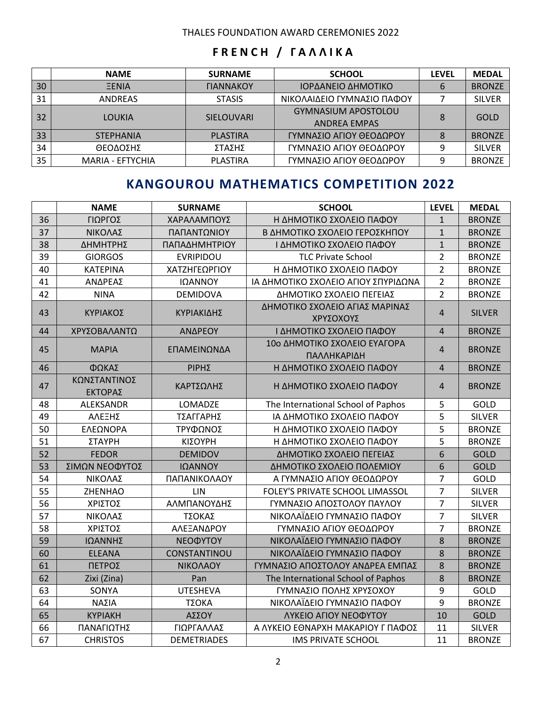#### THALES FOUNDATION AWARD CEREMONIES 2022

#### **F R E N C H / Γ Α Λ Λ Ι Κ Α**

|    | <b>NAME</b>      | <b>SURNAME</b>                 | <b>SCHOOL</b>              | LEVEL | <b>MEDAL</b>  |
|----|------------------|--------------------------------|----------------------------|-------|---------------|
| 30 | <b>EENIA</b>     | <b><i><u>TIANNAKOY</u></i></b> | ΙΟΡΔΑΝΕΙΟ ΔΗΜΟΤΙΚΟ         | 6     | <b>BRONZE</b> |
| 31 | <b>ANDREAS</b>   | <b>STASIS</b>                  | ΝΙΚΟΛΑΙΔΕΙΟ ΓΥΜΝΑΣΙΟ ΠΑΦΟΥ |       | <b>SILVER</b> |
| 32 | LOUKIA           | <b>SIELOUVARI</b>              | <b>GYMNASIUM APOSTOLOU</b> | 8     | GOLD          |
|    |                  |                                | <b>ANDREA EMPAS</b>        |       |               |
| 33 | <b>STEPHANIA</b> | <b>PLASTIRA</b>                | ΓΥΜΝΑΣΙΟ ΑΓΙΟΥ ΘΕΟΔΩΡΟΥ    | 8     | <b>BRONZE</b> |
| 34 | ΘΕΟΔΟΣΗΣ         | ΣΤΑΣΗΣ                         | ΓΥΜΝΑΣΙΟ ΑΓΙΟΥ ΘΕΟΔΩΡΟΥ    | 9     | <b>SILVER</b> |
| 35 | MARIA - EFTYCHIA | <b>PLASTIRA</b>                | ΓΥΜΝΑΣΙΟ ΑΓΙΟΥ ΘΕΟΔΩΡΟΥ    | 9     | <b>BRONZE</b> |

### **KANGOUROU MATHEMATICS COMPETITION 2022**

|    | <b>NAME</b>             | <b>SURNAME</b>     | <b>SCHOOL</b>                               | <b>LEVEL</b>     | <b>MEDAL</b>  |
|----|-------------------------|--------------------|---------------------------------------------|------------------|---------------|
| 36 | ΓΙΩΡΓΟΣ                 | ΧΑΡΑΛΑΜΠΟΥΣ        | Η ΔΗΜΟΤΙΚΟ ΣΧΟΛΕΙΟ ΠΑΦΟΥ                    | 1                | <b>BRONZE</b> |
| 37 | ΝΙΚΟΛΑΣ                 | ΠΑΠΑΝΤΩΝΙΟΥ        | Β ΔΗΜΟΤΙΚΟ ΣΧΟΛΕΙΟ ΓΕΡΟΣΚΗΠΟΥ               | $\mathbf{1}$     | <b>BRONZE</b> |
| 38 | ΔΗΜΗΤΡΗΣ                | ΠΑΠΑΔΗΜΗΤΡΙΟΥ      | Ι ΔΗΜΟΤΙΚΟ ΣΧΟΛΕΙΟ ΠΑΦΟΥ                    | $\mathbf{1}$     | <b>BRONZE</b> |
| 39 | <b>GIORGOS</b>          | <b>EVRIPIDOU</b>   | <b>TLC Private School</b>                   | $\overline{2}$   | <b>BRONZE</b> |
| 40 | <b>KATEPINA</b>         | ΧΑΤΖΗΓΕΩΡΓΙΟΥ      | Η ΔΗΜΟΤΙΚΟ ΣΧΟΛΕΙΟ ΠΑΦΟΥ                    | $\overline{2}$   | <b>BRONZE</b> |
| 41 | ΑΝΔΡΕΑΣ                 | ΙΩΑΝΝΟΥ            | ΙΑ ΔΗΜΟΤΙΚΟ ΣΧΟΛΕΙΟ ΑΓΙΟΥ ΣΠΥΡΙΔΩΝΑ         | $\overline{2}$   | <b>BRONZE</b> |
| 42 | <b>NINA</b>             | <b>DEMIDOVA</b>    | ΔΗΜΟΤΙΚΟ ΣΧΟΛΕΙΟ ΠΕΓΕΙΑΣ                    | $\overline{2}$   | <b>BRONZE</b> |
| 43 | ΚΥΡΙΑΚΟΣ                | ΚΥΡΙΑΚΙΔΗΣ         | ΔΗΜΟΤΙΚΟ ΣΧΟΛΕΙΟ ΑΓΙΑΣ ΜΑΡΙΝΑΣ<br>ΧΡΥΣΟΧΟΥΣ | $\overline{4}$   | <b>SILVER</b> |
| 44 | ΧΡΥΣΟΒΑΛΑΝΤΩ            | ΑΝΔΡΕΟΥ            | Ι ΔΗΜΟΤΙΚΟ ΣΧΟΛΕΙΟ ΠΑΦΟΥ                    | $\overline{4}$   | <b>BRONZE</b> |
| 45 | <b>MAPIA</b>            | ΕΠΑΜΕΙΝΩΝΔΑ        | 10ο ΔΗΜΟΤΙΚΟ ΣΧΟΛΕΙΟ ΕΥΑΓΟΡΑ<br>ΠΑΛΛΗΚΑΡΙΔΗ | 4                | <b>BRONZE</b> |
| 46 | ΦΩΚΑΣ                   | ΡΙΡΗΣ              | Η ΔΗΜΟΤΙΚΟ ΣΧΟΛΕΙΟ ΠΑΦΟΥ                    | $\overline{4}$   | <b>BRONZE</b> |
| 47 | ΚΩΝΣΤΑΝΤΙΝΟΣ<br>ΕΚΤΟΡΑΣ | ΚΑΡΤΣΩΛΗΣ          | Η ΔΗΜΟΤΙΚΟ ΣΧΟΛΕΙΟ ΠΑΦΟΥ                    | $\overline{4}$   | <b>BRONZE</b> |
| 48 | ALEKSANDR               | LOMADZE            | The International School of Paphos          | 5                | GOLD          |
| 49 | ΑΛΕΞΗΣ                  | ΤΣΑΓΓΑΡΗΣ          | ΙΑ ΔΗΜΟΤΙΚΟ ΣΧΟΛΕΙΟ ΠΑΦΟΥ                   | 5                | <b>SILVER</b> |
| 50 | ΕΛΕΩΝΟΡΑ                | ΤΡΥΦΩΝΟΣ           | Η ΔΗΜΟΤΙΚΟ ΣΧΟΛΕΙΟ ΠΑΦΟΥ                    | 5                | <b>BRONZE</b> |
| 51 | ΣΤΑΥΡΗ                  | ΚΙΣΟΥΡΗ            | Η ΔΗΜΟΤΙΚΟ ΣΧΟΛΕΙΟ ΠΑΦΟΥ                    | 5                | <b>BRONZE</b> |
| 52 | <b>FEDOR</b>            | <b>DEMIDOV</b>     | ΔΗΜΟΤΙΚΟ ΣΧΟΛΕΙΟ ΠΕΓΕΙΑΣ                    | 6                | <b>GOLD</b>   |
| 53 | ΣΙΜΩΝ ΝΕΟΦΥΤΟΣ          | ΙΩΑΝΝΟΥ            | ΔΗΜΟΤΙΚΟ ΣΧΟΛΕΙΟ ΠΟΛΕΜΙΟΥ                   | $\boldsymbol{6}$ | <b>GOLD</b>   |
| 54 | ΝΙΚΟΛΑΣ                 | ΠΑΠΑΝΙΚΟΛΑΟΥ       | Α ΓΥΜΝΑΣΙΟ ΑΓΙΟΥ ΘΕΟΔΩΡΟΥ                   | $\overline{7}$   | GOLD          |
| 55 | ZHENHAO                 | LIN                | FOLEY'S PRIVATE SCHOOL LIMASSOL             | $\overline{7}$   | <b>SILVER</b> |
| 56 | ΧΡΙΣΤΟΣ                 | ΑΛΜΠΑΝΟΥΔΗΣ        | ΓΥΜΝΑΣΙΟ ΑΠΟΣΤΟΛΟΥ ΠΑΥΛΟΥ                   | $\overline{7}$   | <b>SILVER</b> |
| 57 | ΝΙΚΟΛΑΣ                 | ΤΣΟΚΑΣ             | ΝΙΚΟΛΑΪΔΕΙΟ ΓΥΜΝΑΣΙΟ ΠΑΦΟΥ                  | $\overline{7}$   | <b>SILVER</b> |
| 58 | ΧΡΙΣΤΟΣ                 | ΑΛΕΞΑΝΔΡΟΥ         | ΓΥΜΝΑΣΙΟ ΑΓΙΟΥ ΘΕΟΔΩΡΟΥ                     | $\overline{7}$   | <b>BRONZE</b> |
| 59 | ΙΩΑΝΝΗΣ                 | ΝΕΟΦΥΤΟΥ           | ΝΙΚΟΛΑΪΔΕΙΟ ΓΥΜΝΑΣΙΟ ΠΑΦΟΥ                  | 8                | <b>BRONZE</b> |
| 60 | <b>ELEANA</b>           | CONSTANTINOU       | ΝΙΚΟΛΑΪΔΕΙΟ ΓΥΜΝΑΣΙΟ ΠΑΦΟΥ                  | 8                | <b>BRONZE</b> |
| 61 | ΠΕΤΡΟΣ                  | ΝΙΚΟΛΑΟΥ           | ΓΥΜΝΑΣΙΟ ΑΠΟΣΤΟΛΟΥ ΑΝΔΡΕΑ ΕΜΠΑΣ             | 8                | <b>BRONZE</b> |
| 62 | Zixi (Zina)             | Pan                | The International School of Paphos          | 8                | <b>BRONZE</b> |
| 63 | SONYA                   | <b>UTESHEVA</b>    | ΓΥΜΝΑΣΙΟ ΠΟΛΗΣ ΧΡΥΣΟΧΟΥ                     | 9                | GOLD          |
| 64 | ΝΑΣΙΑ                   | ΤΣΟΚΑ              | ΝΙΚΟΛΑΪΔΕΙΟ ΓΥΜΝΑΣΙΟ ΠΑΦΟΥ                  | 9                | <b>BRONZE</b> |
| 65 | <b>KYPIAKH</b>          | ΑΣΣΟΥ              | ΛΥΚΕΙΟ ΑΓΙΟΥ ΝΕΟΦΥΤΟΥ                       | 10               | <b>GOLD</b>   |
| 66 | ΠΑΝΑΓΙΩΤΗΣ              | ΓΙΩΡΓΑΛΛΑΣ         | Α ΛΥΚΕΙΟ ΕΘΝΑΡΧΗ ΜΑΚΑΡΙΟΥ Γ ΠΑΦΟΣ           | 11               | <b>SILVER</b> |
| 67 | <b>CHRISTOS</b>         | <b>DEMETRIADES</b> | <b>IMS PRIVATE SCHOOL</b>                   | 11               | <b>BRONZE</b> |